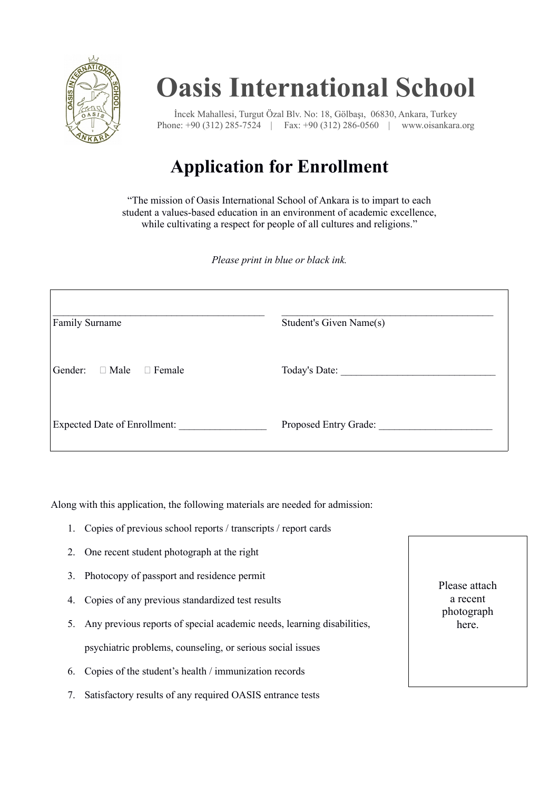

## **Oasis International School**

İncek Mahallesi, Turgut Özal Blv. No: 18, Gölbaşı, 06830, Ankara, Turkey Phone: +90 (312) 285-7524 | Fax: +90 (312) 286-0560 | www.oisankara.org

## **Application for Enrollment**

"The mission of Oasis International School of Ankara is to impart to each student a values-based education in an environment of academic excellence, while cultivating a respect for people of all cultures and religions."

*Please print in blue or black ink.*

| Family Surname                          | Student's Given Name(s) |
|-----------------------------------------|-------------------------|
| Gender:<br>$\Box$ Male<br>$\Box$ Female | Today's Date:           |
| Expected Date of Enrollment:            | Proposed Entry Grade:   |

Along with this application, the following materials are needed for admission:

- 1. Copies of previous school reports / transcripts / report cards
- 2. One recent student photograph at the right
- 3. Photocopy of passport and residence permit
- 4. Copies of any previous standardized test results
- 5. Any previous reports of special academic needs, learning disabilities, psychiatric problems, counseling, or serious social issues
- 6. Copies of the student's health / immunization records
- 7. Satisfactory results of any required OASIS entrance tests

Please attach a recent photograph here.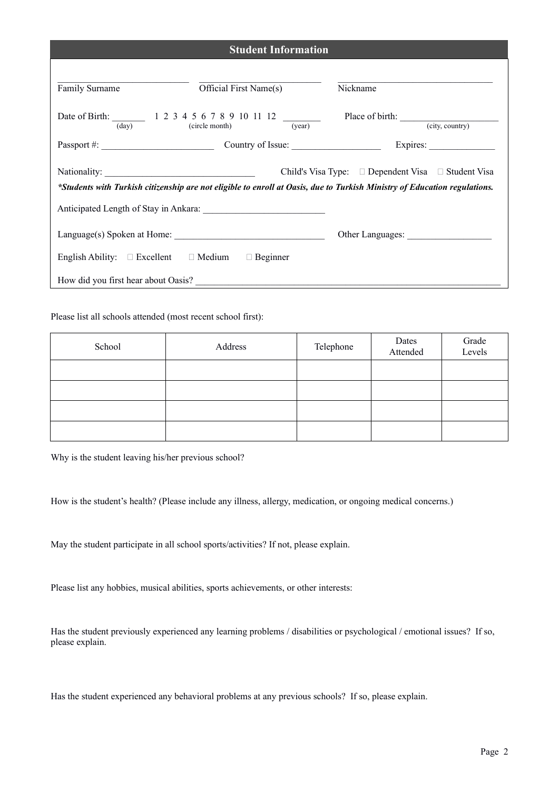| <b>Student Information</b>                                                                                                                                                                      |                          |                 |  |
|-------------------------------------------------------------------------------------------------------------------------------------------------------------------------------------------------|--------------------------|-----------------|--|
| Family Surname                                                                                                                                                                                  | Official First Name(s)   | Nickname        |  |
| Date of Birth: 1 2 3 4 5 6 7 8 9 10 11 12<br>(dav)                                                                                                                                              | (year)<br>(circle month) | (city, country) |  |
|                                                                                                                                                                                                 |                          | Expires:        |  |
| Child's Visa Type: $\square$ Dependent Visa $\square$ Student Visa<br>*Students with Turkish citizenship are not eligible to enroll at Oasis, due to Turkish Ministry of Education regulations. |                          |                 |  |
|                                                                                                                                                                                                 |                          |                 |  |
|                                                                                                                                                                                                 |                          |                 |  |
| English Ability: $\square$ Excellent $\square$ Medium                                                                                                                                           | $\Box$ Beginner          |                 |  |
| How did you first hear about Oasis?                                                                                                                                                             |                          |                 |  |

Please list all schools attended (most recent school first):

| School | Address | Telephone | Dates<br>Attended | Grade<br>Levels |
|--------|---------|-----------|-------------------|-----------------|
|        |         |           |                   |                 |
|        |         |           |                   |                 |
|        |         |           |                   |                 |
|        |         |           |                   |                 |

Why is the student leaving his/her previous school?

How is the student's health? (Please include any illness, allergy, medication, or ongoing medical concerns.)

May the student participate in all school sports/activities? If not, please explain.

Please list any hobbies, musical abilities, sports achievements, or other interests:

Has the student previously experienced any learning problems / disabilities or psychological / emotional issues? If so, please explain.

Has the student experienced any behavioral problems at any previous schools? If so, please explain.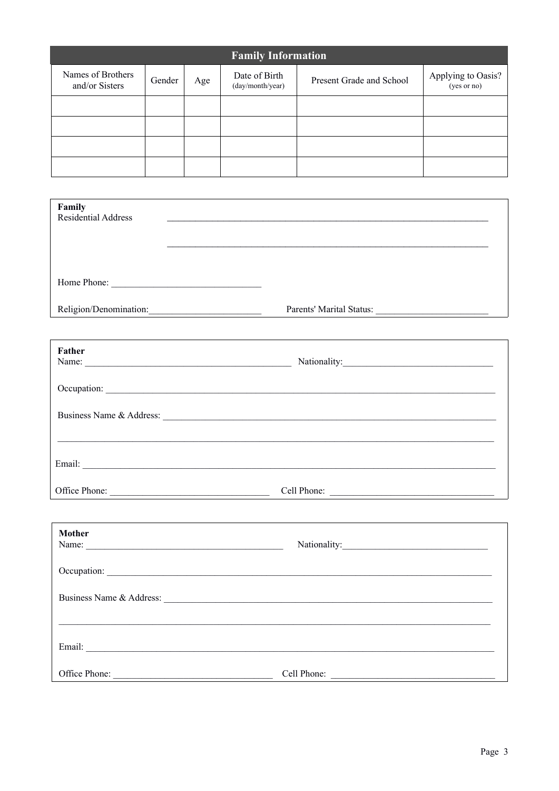| <b>Family Information</b>           |        |     |                                   |                          |                                   |
|-------------------------------------|--------|-----|-----------------------------------|--------------------------|-----------------------------------|
| Names of Brothers<br>and/or Sisters | Gender | Age | Date of Birth<br>(day/month/year) | Present Grade and School | Applying to Oasis?<br>(yes or no) |
|                                     |        |     |                                   |                          |                                   |
|                                     |        |     |                                   |                          |                                   |
|                                     |        |     |                                   |                          |                                   |
|                                     |        |     |                                   |                          |                                   |

| Family<br>Residential Address | <u> 1989 - Johann Stoff, deutscher Stoffen und der Stoffen und der Stoffen und der Stoffen und der Stoffen und der</u>                                                                                                         |
|-------------------------------|--------------------------------------------------------------------------------------------------------------------------------------------------------------------------------------------------------------------------------|
|                               |                                                                                                                                                                                                                                |
|                               |                                                                                                                                                                                                                                |
| Religion/Denomination:        |                                                                                                                                                                                                                                |
| Father                        |                                                                                                                                                                                                                                |
|                               |                                                                                                                                                                                                                                |
|                               |                                                                                                                                                                                                                                |
|                               |                                                                                                                                                                                                                                |
|                               |                                                                                                                                                                                                                                |
|                               |                                                                                                                                                                                                                                |
|                               | Office Phone: Cell Phone: Cell Phone: Cell Phone: Cell Phone: Cell Phone: Cell Phone: Cell Phone: Cell Phone: Cell Phone: Cell Phone: Cell Phone: Cell Phone: Cell Phone: Cell Phone: Cell Phone: Cell Phone: Cell Phone: Cell |
|                               |                                                                                                                                                                                                                                |
| <b>Mother</b>                 |                                                                                                                                                                                                                                |
|                               |                                                                                                                                                                                                                                |
|                               | Business Name & Address: 1986. The Manual School of the Manual School of the Manual School of the Manual School of the Manual School of the Manual School of the Manual School of the Manual School of the Manual School of th |
|                               |                                                                                                                                                                                                                                |
|                               |                                                                                                                                                                                                                                |
|                               | Office Phone: <u>Cell Phone:</u> Cell Phone: Cell Phone:                                                                                                                                                                       |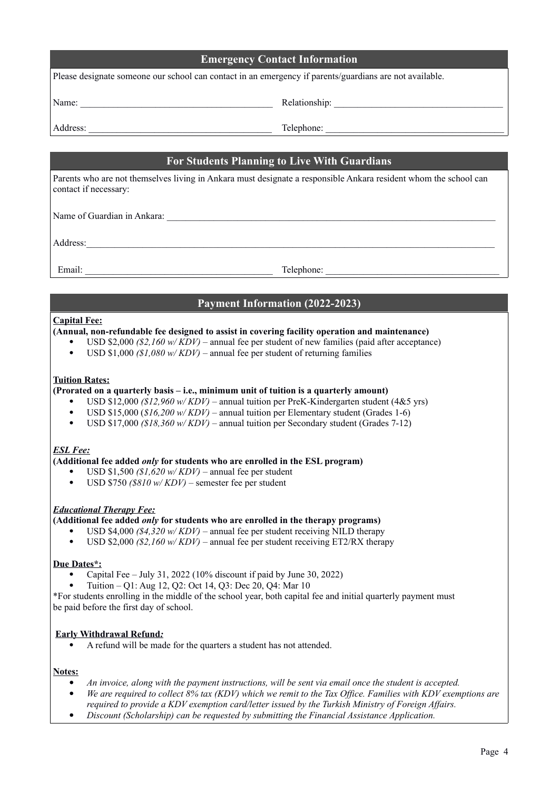| <b>Emergency Contact Information</b>                                                                                                                                                                                                                                                                       |                                                                                                                                                                                                                                                                                                                                                                                                                                                                                                                                                                                                                                                                                                                                                                                                                                                                                                                                                                                                                                                                                                                                                               |  |  |
|------------------------------------------------------------------------------------------------------------------------------------------------------------------------------------------------------------------------------------------------------------------------------------------------------------|---------------------------------------------------------------------------------------------------------------------------------------------------------------------------------------------------------------------------------------------------------------------------------------------------------------------------------------------------------------------------------------------------------------------------------------------------------------------------------------------------------------------------------------------------------------------------------------------------------------------------------------------------------------------------------------------------------------------------------------------------------------------------------------------------------------------------------------------------------------------------------------------------------------------------------------------------------------------------------------------------------------------------------------------------------------------------------------------------------------------------------------------------------------|--|--|
|                                                                                                                                                                                                                                                                                                            | Please designate someone our school can contact in an emergency if parents/guardians are not available.                                                                                                                                                                                                                                                                                                                                                                                                                                                                                                                                                                                                                                                                                                                                                                                                                                                                                                                                                                                                                                                       |  |  |
|                                                                                                                                                                                                                                                                                                            |                                                                                                                                                                                                                                                                                                                                                                                                                                                                                                                                                                                                                                                                                                                                                                                                                                                                                                                                                                                                                                                                                                                                                               |  |  |
|                                                                                                                                                                                                                                                                                                            | Address: Telephone: Telephone: Telephone: 2007                                                                                                                                                                                                                                                                                                                                                                                                                                                                                                                                                                                                                                                                                                                                                                                                                                                                                                                                                                                                                                                                                                                |  |  |
|                                                                                                                                                                                                                                                                                                            | <b>For Students Planning to Live With Guardians</b>                                                                                                                                                                                                                                                                                                                                                                                                                                                                                                                                                                                                                                                                                                                                                                                                                                                                                                                                                                                                                                                                                                           |  |  |
|                                                                                                                                                                                                                                                                                                            | Parents who are not themselves living in Ankara must designate a responsible Ankara resident whom the school can<br>contact if necessary:                                                                                                                                                                                                                                                                                                                                                                                                                                                                                                                                                                                                                                                                                                                                                                                                                                                                                                                                                                                                                     |  |  |
|                                                                                                                                                                                                                                                                                                            |                                                                                                                                                                                                                                                                                                                                                                                                                                                                                                                                                                                                                                                                                                                                                                                                                                                                                                                                                                                                                                                                                                                                                               |  |  |
|                                                                                                                                                                                                                                                                                                            | Address:                                                                                                                                                                                                                                                                                                                                                                                                                                                                                                                                                                                                                                                                                                                                                                                                                                                                                                                                                                                                                                                                                                                                                      |  |  |
|                                                                                                                                                                                                                                                                                                            | Email: Telephone: Telephone: Telephone: Telephone: Telephone: Telephone: Telephone: Telephone: Telephone: Telephone: Telephone: Telephone: Telephone: Telephone: Telephone: Telephone: Telephone: Telephone: Telephone: Teleph                                                                                                                                                                                                                                                                                                                                                                                                                                                                                                                                                                                                                                                                                                                                                                                                                                                                                                                                |  |  |
|                                                                                                                                                                                                                                                                                                            | <b>Payment Information (2022-2023)</b>                                                                                                                                                                                                                                                                                                                                                                                                                                                                                                                                                                                                                                                                                                                                                                                                                                                                                                                                                                                                                                                                                                                        |  |  |
| <b>Capital Fee:</b><br>$\bullet$<br><b>Tuition Rates:</b><br>$\bullet$<br>$\bullet$<br>$\bullet$<br><b>ESL Fee:</b><br>$\bullet$                                                                                                                                                                           | (Annual, non-refundable fee designed to assist in covering facility operation and maintenance)<br>• USD \$2,000 (\$2,160 w/KDV) – annual fee per student of new families (paid after acceptance)<br>USD \$1,000 (\$1,080 w/KDV) – annual fee per student of returning families<br>(Prorated on a quarterly basis – i.e., minimum unit of tuition is a quarterly amount)<br>USD \$12,000 (\$12,960 w/KDV) – annual tuition per PreK-Kindergarten student (4&5 yrs)<br>USD \$15,000 (\$16,200 w/KDV) – annual tuition per Elementary student (Grades 1-6)<br>USD \$17,000 (\$18,360 w/KDV) – annual tuition per Secondary student (Grades 7-12)<br>(Additional fee added <i>only</i> for students who are enrolled in the ESL program)<br>• USD \$1,500 $(S1, 620 \text{ w}/KDV)$ – annual fee per student<br>USD \$750 (\$810 w/KDV) – semester fee per student<br><b>Educational Therapy Fee:</b><br>(Additional fee added <i>only</i> for students who are enrolled in the therapy programs)<br>USD \$4,000 (\$4,320 w/KDV) – annual fee per student receiving NILD therapy<br>USD \$2,000 (\$2,160 w/KDV) – annual fee per student receiving ET2/RX therapy |  |  |
| Due Dates*:<br>Capital Fee – July 31, 2022 (10% discount if paid by June 30, 2022)<br>Tuition - Q1: Aug 12, Q2: Oct 14, Q3: Dec 20, Q4: Mar 10<br>*For students enrolling in the middle of the school year, both capital fee and initial quarterly payment must<br>be paid before the first day of school. |                                                                                                                                                                                                                                                                                                                                                                                                                                                                                                                                                                                                                                                                                                                                                                                                                                                                                                                                                                                                                                                                                                                                                               |  |  |
|                                                                                                                                                                                                                                                                                                            | <b>Early Withdrawal Refund:</b><br>A refund will be made for the quarters a student has not attended.                                                                                                                                                                                                                                                                                                                                                                                                                                                                                                                                                                                                                                                                                                                                                                                                                                                                                                                                                                                                                                                         |  |  |
| Notes:<br>٠<br>٠<br>٠                                                                                                                                                                                                                                                                                      | An invoice, along with the payment instructions, will be sent via email once the student is accepted.<br>We are required to collect 8% tax (KDV) which we remit to the Tax Office. Families with KDV exemptions are<br>required to provide a KDV exemption card/letter issued by the Turkish Ministry of Foreign Affairs.<br>Discount (Scholarship) can be requested by submitting the Financial Assistance Application.                                                                                                                                                                                                                                                                                                                                                                                                                                                                                                                                                                                                                                                                                                                                      |  |  |